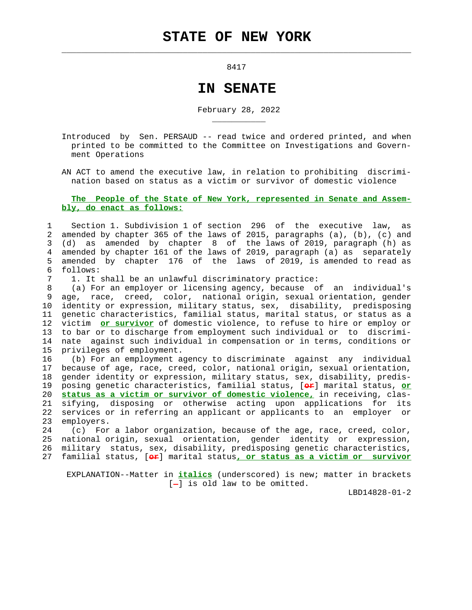8417

 $\mathcal{L}_\text{max} = \frac{1}{2} \sum_{i=1}^{n} \frac{1}{2} \sum_{i=1}^{n} \frac{1}{2} \sum_{i=1}^{n} \frac{1}{2} \sum_{i=1}^{n} \frac{1}{2} \sum_{i=1}^{n} \frac{1}{2} \sum_{i=1}^{n} \frac{1}{2} \sum_{i=1}^{n} \frac{1}{2} \sum_{i=1}^{n} \frac{1}{2} \sum_{i=1}^{n} \frac{1}{2} \sum_{i=1}^{n} \frac{1}{2} \sum_{i=1}^{n} \frac{1}{2} \sum_{i=1}^{n} \frac{1$ 

## **IN SENATE**

February 28, 2022

 Introduced by Sen. PERSAUD -- read twice and ordered printed, and when printed to be committed to the Committee on Investigations and Govern ment Operations

 AN ACT to amend the executive law, in relation to prohibiting discrimi nation based on status as a victim or survivor of domestic violence

## **The People of the State of New York, represented in Senate and Assem bly, do enact as follows:**

 1 Section 1. Subdivision 1 of section 296 of the executive law, as 2 amended by chapter 365 of the laws of 2015, paragraphs (a), (b), (c) and 3 (d) as amended by chapter 8 of the laws of 2019, paragraph (h) as 4 amended by chapter 161 of the laws of 2019, paragraph (a) as separately 5 amended by chapter 176 of the laws of 2019, is amended to read as 6 follows:

7 1. It shall be an unlawful discriminatory practice:

\_\_\_\_\_\_\_\_\_\_\_

 8 (a) For an employer or licensing agency, because of an individual's 9 age, race, creed, color, national origin, sexual orientation, gender 10 identity or expression, military status, sex, disability, predisposing 11 genetic characteristics, familial status, marital status, or status as a 12 victim **or survivor** of domestic violence, to refuse to hire or employ or 13 to bar or to discharge from employment such individual or to discrimi- 14 nate against such individual in compensation or in terms, conditions or 15 privileges of employment.

 16 (b) For an employment agency to discriminate against any individual 17 because of age, race, creed, color, national origin, sexual orientation, 18 gender identity or expression, military status, sex, disability, predis- 19 posing genetic characteristics, familial status, [**or**] marital status, **or** 20 **status as a victim or survivor of domestic violence,** in receiving, clas- 21 sifying, disposing or otherwise acting upon applications for its 22 services or in referring an applicant or applicants to an employer or 23 employers.

 24 (c) For a labor organization, because of the age, race, creed, color, 25 national origin, sexual orientation, gender identity or expression, 26 military status, sex, disability, predisposing genetic characteristics, 27 familial status, [**or**] marital status**, or status as a victim or survivor**

 EXPLANATION--Matter in **italics** (underscored) is new; matter in brackets  $[-]$  is old law to be omitted.

LBD14828-01-2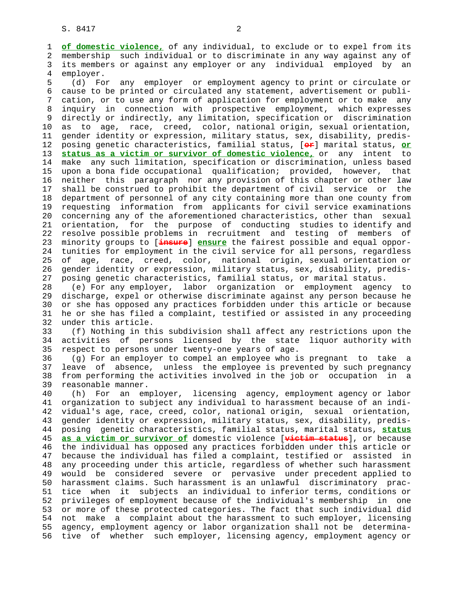1 **of domestic violence,** of any individual, to exclude or to expel from its 2 membership such individual or to discriminate in any way against any of 3 its members or against any employer or any individual employed by an 4 employer.<br>5 (d) Fo

(d) For any employer or employment agency to print or circulate or 6 cause to be printed or circulated any statement, advertisement or publi- 7 cation, or to use any form of application for employment or to make any 8 inquiry in connection with prospective employment, which expresses 9 directly or indirectly, any limitation, specification or discrimination 10 as to age, race, creed, color, national origin, sexual orientation, 11 gender identity or expression, military status, sex, disability, predis- 12 posing genetic characteristics, familial status, [**or**] marital status, **or** 13 **status as a victim or survivor of domestic violence,** or any intent to 14 make any such limitation, specification or discrimination, unless based 15 upon a bona fide occupational qualification; provided, however, that 16 neither this paragraph nor any provision of this chapter or other law 17 shall be construed to prohibit the department of civil service or the 18 department of personnel of any city containing more than one county from 19 requesting information from applicants for civil service examinations 20 concerning any of the aforementioned characteristics, other than sexual 21 orientation, for the purpose of conducting studies to identify and 22 resolve possible problems in recruitment and testing of members of 23 minority groups to [**insure**] **ensure** the fairest possible and equal oppor- 24 tunities for employment in the civil service for all persons, regardless 25 of age, race, creed, color, national origin, sexual orientation or 26 gender identity or expression, military status, sex, disability, predis- 27 posing genetic characteristics, familial status, or marital status.

 28 (e) For any employer, labor organization or employment agency to 29 discharge, expel or otherwise discriminate against any person because he 30 or she has opposed any practices forbidden under this article or because 31 he or she has filed a complaint, testified or assisted in any proceeding 32 under this article.

 33 (f) Nothing in this subdivision shall affect any restrictions upon the 34 activities of persons licensed by the state liquor authority with 35 respect to persons under twenty-one years of age.

 36 (g) For an employer to compel an employee who is pregnant to take a 37 leave of absence, unless the employee is prevented by such pregnancy 38 from performing the activities involved in the job or occupation in a 39 reasonable manner.

 40 (h) For an employer, licensing agency, employment agency or labor 41 organization to subject any individual to harassment because of an indi- 42 vidual's age, race, creed, color, national origin, sexual orientation, 43 gender identity or expression, military status, sex, disability, predis- 44 posing genetic characteristics, familial status, marital status, **status** 45 **as a victim or survivor of** domestic violence [**victim status**], or because 46 the individual has opposed any practices forbidden under this article or 47 because the individual has filed a complaint, testified or assisted in 48 any proceeding under this article, regardless of whether such harassment 49 would be considered severe or pervasive under precedent applied to 50 harassment claims. Such harassment is an unlawful discriminatory prac- 51 tice when it subjects an individual to inferior terms, conditions or 52 privileges of employment because of the individual's membership in one 53 or more of these protected categories. The fact that such individual did 54 not make a complaint about the harassment to such employer, licensing 55 agency, employment agency or labor organization shall not be determina- 56 tive of whether such employer, licensing agency, employment agency or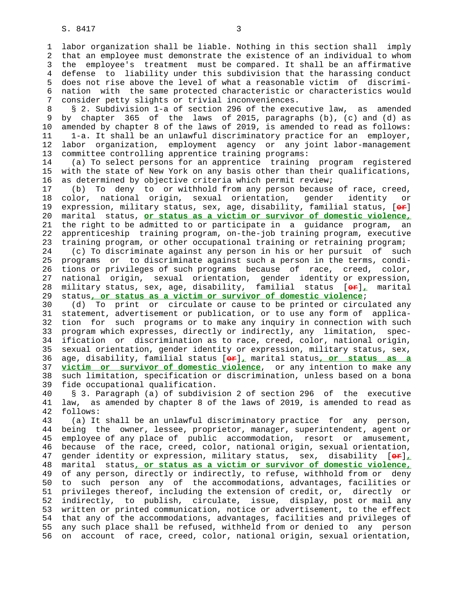1 labor organization shall be liable. Nothing in this section shall imply 2 that an employee must demonstrate the existence of an individual to whom 3 the employee's treatment must be compared. It shall be an affirmative 4 defense to liability under this subdivision that the harassing conduct 5 does not rise above the level of what a reasonable victim of discrimi- 6 nation with the same protected characteristic or characteristics would 7 consider petty slights or trivial inconveniences.

 8 § 2. Subdivision 1-a of section 296 of the executive law, as amended 9 by chapter 365 of the laws of 2015, paragraphs (b), (c) and (d) as<br>10 amended by chapter 8 of the laws of 2019, is amended to read as follows: amended by chapter 8 of the laws of 2019, is amended to read as follows: 11 1-a. It shall be an unlawful discriminatory practice for an employer, 12 labor organization, employment agency or any joint labor-management 13 committee controlling apprentice training programs:

 14 (a) To select persons for an apprentice training program registered 15 with the state of New York on any basis other than their qualifications, 16 as determined by objective criteria which permit review;

 17 (b) To deny to or withhold from any person because of race, creed, 18 color, national origin, sexual orientation, gender identity or 19 expression, military status, sex, age, disability, familial status, [**or**] 20 marital status, **or status as a victim or survivor of domestic violence,** 21 the right to be admitted to or participate in a guidance program, an 22 apprenticeship training program, on-the-job training program, executive 23 training program, or other occupational training or retraining program; 24 (c) To discriminate against any person in his or her pursuit of such 25 programs or to discriminate against such a person in the terms, condi- 26 tions or privileges of such programs because of race, creed, color, 27 national origin, sexual orientation, gender identity or expression, 28 military status, sex, age, disability, familial status [**or**]**,** marital

29 status**, or status as a victim or survivor of domestic violence**;

 30 (d) To print or circulate or cause to be printed or circulated any 31 statement, advertisement or publication, or to use any form of applica- 32 tion for such programs or to make any inquiry in connection with such 33 program which expresses, directly or indirectly, any limitation, spec- 34 ification or discrimination as to race, creed, color, national origin, 35 sexual orientation, gender identity or expression, military status, sex, 36 age, disability, familial status [**or**]**,** marital status**, or status as a** 37 **victim or survivor of domestic violence**, or any intention to make any 38 such limitation, specification or discrimination, unless based on a bona 39 fide occupational qualification.

 40 § 3. Paragraph (a) of subdivision 2 of section 296 of the executive 41 law, as amended by chapter 8 of the laws of 2019, is amended to read as 42 follows:

 43 (a) It shall be an unlawful discriminatory practice for any person, 44 being the owner, lessee, proprietor, manager, superintendent, agent or 45 employee of any place of public accommodation, resort or amusement, 46 because of the race, creed, color, national origin, sexual orientation, 47 gender identity or expression, military status, sex, disability [**or**]**,** 48 marital status**, or status as a victim or survivor of domestic violence,** 49 of any person, directly or indirectly, to refuse, withhold from or deny 50 to such person any of the accommodations, advantages, facilities or 51 privileges thereof, including the extension of credit, or, directly or 52 indirectly, to publish, circulate, issue, display, post or mail any 53 written or printed communication, notice or advertisement, to the effect 54 that any of the accommodations, advantages, facilities and privileges of 55 any such place shall be refused, withheld from or denied to any person 56 on account of race, creed, color, national origin, sexual orientation,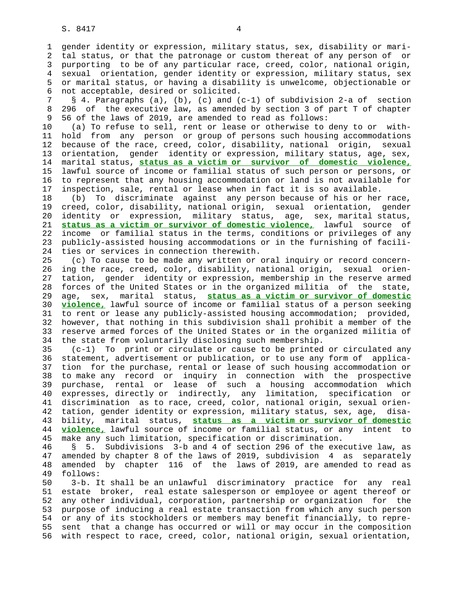1 gender identity or expression, military status, sex, disability or mari- 2 tal status, or that the patronage or custom thereat of any person of or 3 purporting to be of any particular race, creed, color, national origin, 4 sexual orientation, gender identity or expression, military status, sex 5 or marital status, or having a disability is unwelcome, objectionable or 6 not acceptable, desired or solicited.

 7 § 4. Paragraphs (a), (b), (c) and (c-1) of subdivision 2-a of section 8 296 of the executive law, as amended by section 3 of part T of chapter 9 56 of the laws of 2019, are amended to read as follows:

 10 (a) To refuse to sell, rent or lease or otherwise to deny to or with- 11 hold from any person or group of persons such housing accommodations 12 because of the race, creed, color, disability, national origin, sexual 13 orientation, gender identity or expression, military status, age, sex, 14 marital status, **status as a victim or survivor of domestic violence,** 15 lawful source of income or familial status of such person or persons, or 16 to represent that any housing accommodation or land is not available for 17 inspection, sale, rental or lease when in fact it is so available.

 18 (b) To discriminate against any person because of his or her race, 19 creed, color, disability, national origin, sexual orientation, gender 20 identity or expression, military status, age, sex, marital status, 21 **status as a victim or survivor of domestic violence,** lawful source of 22 income or familial status in the terms, conditions or privileges of any 23 publicly-assisted housing accommodations or in the furnishing of facili- 24 ties or services in connection therewith.

 25 (c) To cause to be made any written or oral inquiry or record concern- 26 ing the race, creed, color, disability, national origin, sexual orien- 27 tation, gender identity or expression, membership in the reserve armed 28 forces of the United States or in the organized militia of the state, 29 age, sex, marital status, **status as a victim or survivor of domestic** 30 **violence,** lawful source of income or familial status of a person seeking 31 to rent or lease any publicly-assisted housing accommodation; provided, 32 however, that nothing in this subdivision shall prohibit a member of the 33 reserve armed forces of the United States or in the organized militia of 34 the state from voluntarily disclosing such membership.

 35 (c-1) To print or circulate or cause to be printed or circulated any 36 statement, advertisement or publication, or to use any form of applica- 37 tion for the purchase, rental or lease of such housing accommodation or 38 to make any record or inquiry in connection with the prospective 39 purchase, rental or lease of such a housing accommodation which 40 expresses, directly or indirectly, any limitation, specification or 41 discrimination as to race, creed, color, national origin, sexual orien- 42 tation, gender identity or expression, military status, sex, age, disa- 43 bility, marital status, **status as a victim or survivor of domestic** 44 **violence,** lawful source of income or familial status, or any intent to 45 make any such limitation, specification or discrimination.

 46 § 5. Subdivisions 3-b and 4 of section 296 of the executive law, as 47 amended by chapter 8 of the laws of 2019, subdivision 4 as separately 48 amended by chapter 116 of the laws of 2019, are amended to read as 49 follows:

 50 3-b. It shall be an unlawful discriminatory practice for any real 51 estate broker, real estate salesperson or employee or agent thereof or 52 any other individual, corporation, partnership or organization for the 53 purpose of inducing a real estate transaction from which any such person 54 or any of its stockholders or members may benefit financially, to repre- 55 sent that a change has occurred or will or may occur in the composition 56 with respect to race, creed, color, national origin, sexual orientation,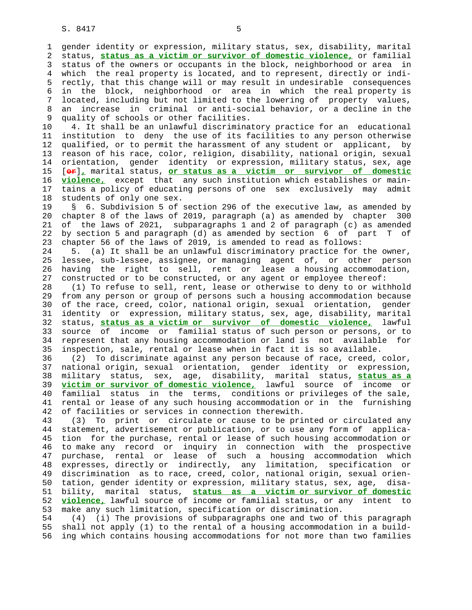1 gender identity or expression, military status, sex, disability, marital 2 status, **status as a victim or survivor of domestic violence,** or familial 3 status of the owners or occupants in the block, neighborhood or area in 4 which the real property is located, and to represent, directly or indi- 5 rectly, that this change will or may result in undesirable consequences 6 in the block, neighborhood or area in which the real property is 7 located, including but not limited to the lowering of property values, 8 an increase in criminal or anti-social behavior, or a decline in the 9 quality of schools or other facilities.<br>10 4. It shall be an unlawful discrimina

4. It shall be an unlawful discriminatory practice for an educational 11 institution to deny the use of its facilities to any person otherwise 12 qualified, or to permit the harassment of any student or applicant, by 13 reason of his race, color, religion, disability, national origin, sexual 14 orientation, gender identity or expression, military status, sex, age 15 [**or**]**,** marital status, **or status as a victim or survivor of domestic** 16 **violence,** except that any such institution which establishes or main- 17 tains a policy of educating persons of one sex exclusively may admit 18 students of only one sex.

 19 § 6. Subdivision 5 of section 296 of the executive law, as amended by 20 chapter 8 of the laws of 2019, paragraph (a) as amended by chapter 300 21 of the laws of 2021, subparagraphs 1 and 2 of paragraph (c) as amended 22 by section 5 and paragraph (d) as amended by section 6 of part T of 23 chapter 56 of the laws of 2019, is amended to read as follows:

 24 5. (a) It shall be an unlawful discriminatory practice for the owner, 25 lessee, sub-lessee, assignee, or managing agent of, or other person 26 having the right to sell, rent or lease a housing accommodation, 27 constructed or to be constructed, or any agent or employee thereof:

 28 (1) To refuse to sell, rent, lease or otherwise to deny to or withhold 29 from any person or group of persons such a housing accommodation because 30 of the race, creed, color, national origin, sexual orientation, gender 31 identity or expression, military status, sex, age, disability, marital 32 status, **status as a victim or survivor of domestic violence,** lawful 33 source of income or familial status of such person or persons, or to 34 represent that any housing accommodation or land is not available for 35 inspection, sale, rental or lease when in fact it is so available.

 36 (2) To discriminate against any person because of race, creed, color, 37 national origin, sexual orientation, gender identity or expression, 38 military status, sex, age, disability, marital status, **status as a** 39 **victim or survivor of domestic violence,** lawful source of income or 40 familial status in the terms, conditions or privileges of the sale, 41 rental or lease of any such housing accommodation or in the furnishing 42 of facilities or services in connection therewith.

 43 (3) To print or circulate or cause to be printed or circulated any 44 statement, advertisement or publication, or to use any form of applica- 45 tion for the purchase, rental or lease of such housing accommodation or 46 to make any record or inquiry in connection with the prospective 47 purchase, rental or lease of such a housing accommodation which 48 expresses, directly or indirectly, any limitation, specification or 49 discrimination as to race, creed, color, national origin, sexual orien- 50 tation, gender identity or expression, military status, sex, age, disa- 51 bility, marital status, **status as a victim or survivor of domestic** 52 **violence,** lawful source of income or familial status, or any intent to 53 make any such limitation, specification or discrimination.

 54 (4) (i) The provisions of subparagraphs one and two of this paragraph 55 shall not apply (1) to the rental of a housing accommodation in a build- 56 ing which contains housing accommodations for not more than two families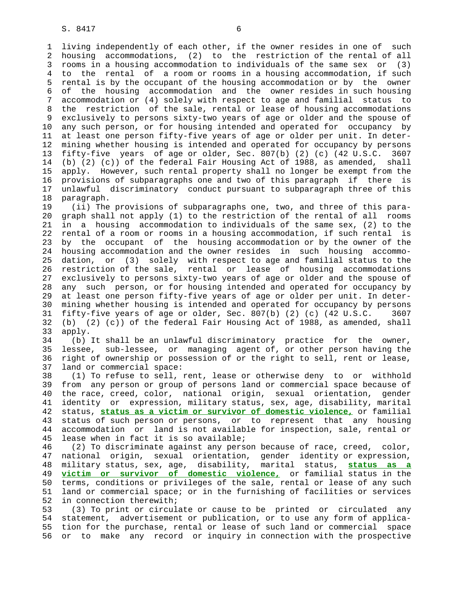1 living independently of each other, if the owner resides in one of such 2 housing accommodations, (2) to the restriction of the rental of all 3 rooms in a housing accommodation to individuals of the same sex or (3) 4 to the rental of a room or rooms in a housing accommodation, if such 5 rental is by the occupant of the housing accommodation or by the owner 6 of the housing accommodation and the owner resides in such housing 7 accommodation or (4) solely with respect to age and familial status to 8 the restriction of the sale, rental or lease of housing accommodations 9 exclusively to persons sixty-two years of age or older and the spouse of 10 any such person, or for housing intended and operated for occupancy by 11 at least one person fifty-five years of age or older per unit. In deter- 12 mining whether housing is intended and operated for occupancy by persons 13 fifty-five years of age or older, Sec. 807(b) (2) (c) (42 U.S.C. 3607 14 (b) (2) (c)) of the federal Fair Housing Act of 1988, as amended, shall 15 apply. However, such rental property shall no longer be exempt from the 16 provisions of subparagraphs one and two of this paragraph if there is 17 unlawful discriminatory conduct pursuant to subparagraph three of this 18 paragraph.

 19 (ii) The provisions of subparagraphs one, two, and three of this para- 20 graph shall not apply (1) to the restriction of the rental of all rooms 21 in a housing accommodation to individuals of the same sex, (2) to the 22 rental of a room or rooms in a housing accommodation, if such rental is 23 by the occupant of the housing accommodation or by the owner of the 24 housing accommodation and the owner resides in such housing accommo- 25 dation, or (3) solely with respect to age and familial status to the 26 restriction of the sale, rental or lease of housing accommodations 27 exclusively to persons sixty-two years of age or older and the spouse of 28 any such person, or for housing intended and operated for occupancy by 29 at least one person fifty-five years of age or older per unit. In deter- 30 mining whether housing is intended and operated for occupancy by persons 31 fifty-five years of age or older, Sec. 807(b) (2) (c) (42 U.S.C. 3607 32 (b) (2) (c)) of the federal Fair Housing Act of 1988, as amended, shall 33 apply.

 34 (b) It shall be an unlawful discriminatory practice for the owner, 35 lessee, sub-lessee, or managing agent of, or other person having the 36 right of ownership or possession of or the right to sell, rent or lease, 37 land or commercial space:

 38 (1) To refuse to sell, rent, lease or otherwise deny to or withhold 39 from any person or group of persons land or commercial space because of 40 the race, creed, color, national origin, sexual orientation, gender 41 identity or expression, military status, sex, age, disability, marital 42 status, **status as a victim or survivor of domestic violence,** or familial 43 status of such person or persons, or to represent that any housing 44 accommodation or land is not available for inspection, sale, rental or 45 lease when in fact it is so available;

 46 (2) To discriminate against any person because of race, creed, color, 47 national origin, sexual orientation, gender identity or expression, 48 military status, sex, age, disability, marital status, **status as a** 49 **victim or survivor of domestic violence,** or familial status in the 50 terms, conditions or privileges of the sale, rental or lease of any such 51 land or commercial space; or in the furnishing of facilities or services 52 in connection therewith;

 53 (3) To print or circulate or cause to be printed or circulated any 54 statement, advertisement or publication, or to use any form of applica- 55 tion for the purchase, rental or lease of such land or commercial space 56 or to make any record or inquiry in connection with the prospective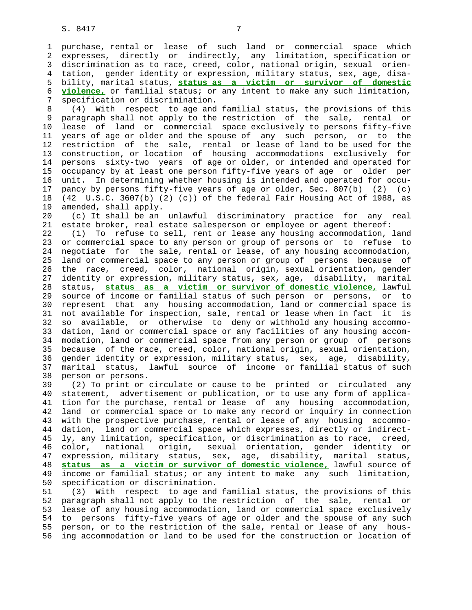1 purchase, rental or lease of such land or commercial space which 2 expresses, directly or indirectly, any limitation, specification or 3 discrimination as to race, creed, color, national origin, sexual orien- 4 tation, gender identity or expression, military status, sex, age, disa- 5 bility, marital status, **status as a victim or survivor of domestic** 6 **violence,** or familial status; or any intent to make any such limitation, 7 specification or discrimination.

 8 (4) With respect to age and familial status, the provisions of this 9 paragraph shall not apply to the restriction of the sale, rental or 10 lease of land or commercial space exclusively to persons fifty-five 11 years of age or older and the spouse of any such person, or to the 12 restriction of the sale, rental or lease of land to be used for the 13 construction, or location of housing accommodations exclusively for 14 persons sixty-two years of age or older, or intended and operated for 15 occupancy by at least one person fifty-five years of age or older per 16 unit. In determining whether housing is intended and operated for occu- 17 pancy by persons fifty-five years of age or older, Sec. 807(b) (2) (c) 18 (42 U.S.C. 3607(b) (2) (c)) of the federal Fair Housing Act of 1988, as 19 amended, shall apply.

 20 (c) It shall be an unlawful discriminatory practice for any real 21 estate broker, real estate salesperson or employee or agent thereof:

 22 (1) To refuse to sell, rent or lease any housing accommodation, land 23 or commercial space to any person or group of persons or to refuse to 24 negotiate for the sale, rental or lease, of any housing accommodation, 25 land or commercial space to any person or group of persons because of 26 the race, creed, color, national origin, sexual orientation, gender 27 identity or expression, military status, sex, age, disability, marital 28 status, **status as a victim or survivor of domestic violence,** lawful 29 source of income or familial status of such person or persons, or to 30 represent that any housing accommodation, land or commercial space is 31 not available for inspection, sale, rental or lease when in fact it is 32 so available, or otherwise to deny or withhold any housing accommo- 33 dation, land or commercial space or any facilities of any housing accom- 34 modation, land or commercial space from any person or group of persons 35 because of the race, creed, color, national origin, sexual orientation, 36 gender identity or expression, military status, sex, age, disability, 37 marital status, lawful source of income or familial status of such 38 person or persons.

 39 (2) To print or circulate or cause to be printed or circulated any 40 statement, advertisement or publication, or to use any form of applica- 41 tion for the purchase, rental or lease of any housing accommodation, 42 land or commercial space or to make any record or inquiry in connection 43 with the prospective purchase, rental or lease of any housing accommo- 44 dation, land or commercial space which expresses, directly or indirect- 45 ly, any limitation, specification, or discrimination as to race, creed, 46 color, national origin, sexual orientation, gender identity or 47 expression, military status, sex, age, disability, marital status, 48 **status as a victim or survivor of domestic violence,** lawful source of 49 income or familial status; or any intent to make any such limitation, 50 specification or discrimination.

 51 (3) With respect to age and familial status, the provisions of this 52 paragraph shall not apply to the restriction of the sale, rental or 53 lease of any housing accommodation, land or commercial space exclusively 54 to persons fifty-five years of age or older and the spouse of any such 55 person, or to the restriction of the sale, rental or lease of any hous- 56 ing accommodation or land to be used for the construction or location of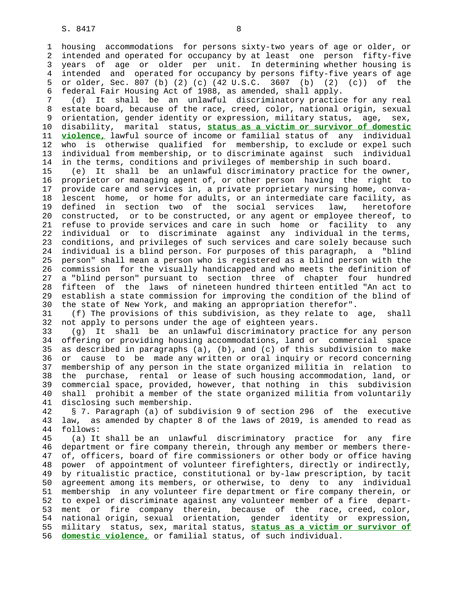1 housing accommodations for persons sixty-two years of age or older, or 2 intended and operated for occupancy by at least one person fifty-five 3 years of age or older per unit. In determining whether housing is 4 intended and operated for occupancy by persons fifty-five years of age 5 or older, Sec. 807 (b) (2) (c) (42 U.S.C. 3607 (b) (2) (c)) of the 6 federal Fair Housing Act of 1988, as amended, shall apply.

 7 (d) It shall be an unlawful discriminatory practice for any real 8 estate board, because of the race, creed, color, national origin, sexual 9 orientation, gender identity or expression, military status, age, sex, 10 disability, marital status, **status as a victim or survivor of domestic** 11 **violence,** lawful source of income or familial status of any individual 12 who is otherwise qualified for membership, to exclude or expel such 13 individual from membership, or to discriminate against such individual 14 in the terms, conditions and privileges of membership in such board.

 15 (e) It shall be an unlawful discriminatory practice for the owner, 16 proprietor or managing agent of, or other person having the right to 17 provide care and services in, a private proprietary nursing home, conva- 18 lescent home, or home for adults, or an intermediate care facility, as 19 defined in section two of the social services law, heretofore 20 constructed, or to be constructed, or any agent or employee thereof, to 21 refuse to provide services and care in such home or facility to any 22 individual or to discriminate against any individual in the terms, 23 conditions, and privileges of such services and care solely because such 24 individual is a blind person. For purposes of this paragraph, a "blind 25 person" shall mean a person who is registered as a blind person with the 26 commission for the visually handicapped and who meets the definition of 27 a "blind person" pursuant to section three of chapter four hundred 28 fifteen of the laws of nineteen hundred thirteen entitled "An act to 29 establish a state commission for improving the condition of the blind of 30 the state of New York, and making an appropriation therefor".

 31 (f) The provisions of this subdivision, as they relate to age, shall 32 not apply to persons under the age of eighteen years.

 33 (g) It shall be an unlawful discriminatory practice for any person 34 offering or providing housing accommodations, land or commercial space 35 as described in paragraphs (a), (b), and (c) of this subdivision to make 36 or cause to be made any written or oral inquiry or record concerning 37 membership of any person in the state organized militia in relation to 38 the purchase, rental or lease of such housing accommodation, land, or 39 commercial space, provided, however, that nothing in this subdivision 40 shall prohibit a member of the state organized militia from voluntarily 41 disclosing such membership.

 42 § 7. Paragraph (a) of subdivision 9 of section 296 of the executive 43 law, as amended by chapter 8 of the laws of 2019, is amended to read as 44 follows:

 45 (a) It shall be an unlawful discriminatory practice for any fire 46 department or fire company therein, through any member or members there- 47 of, officers, board of fire commissioners or other body or office having 48 power of appointment of volunteer firefighters, directly or indirectly, 49 by ritualistic practice, constitutional or by-law prescription, by tacit 50 agreement among its members, or otherwise, to deny to any individual 51 membership in any volunteer fire department or fire company therein, or 52 to expel or discriminate against any volunteer member of a fire depart- 53 ment or fire company therein, because of the race, creed, color, 54 national origin, sexual orientation, gender identity or expression, 55 military status, sex, marital status, **status as a victim or survivor of** 56 **domestic violence,** or familial status, of such individual.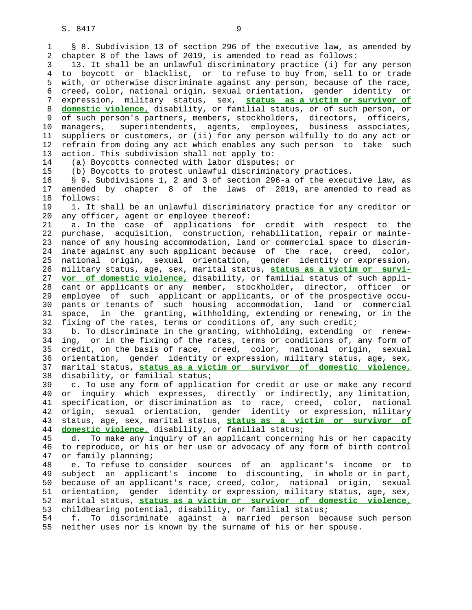S. 8417 9

 6 creed, color, national origin, sexual orientation, gender identity or 7 expression, military status, sex, **status as a victim or survivor of** 8 **domestic violence,** disability, or familial status, or of such person, or 9 of such person's partners, members, stockholders, directors, officers, 10 managers, superintendents, agents, employees, business associates, 11 suppliers or customers, or (ii) for any person wilfully to do any act or 12 refrain from doing any act which enables any such person to take such 13 action. This subdivision shall not apply to:

14 (a) Boycotts connected with labor disputes; or

15 (b) Boycotts to protest unlawful discriminatory practices.

 16 § 9. Subdivisions 1, 2 and 3 of section 296-a of the executive law, as 17 amended by chapter 8 of the laws of 2019, are amended to read as 18 follows:

 19 1. It shall be an unlawful discriminatory practice for any creditor or 20 any officer, agent or employee thereof:

 21 a. In the case of applications for credit with respect to the 22 purchase, acquisition, construction, rehabilitation, repair or mainte- 23 nance of any housing accommodation, land or commercial space to discrim- 24 inate against any such applicant because of the race, creed, color, 25 national origin, sexual orientation, gender identity or expression, 26 military status, age, sex, marital status, **status as a victim or survi-** 27 **vor of domestic violence,** disability, or familial status of such appli- 28 cant or applicants or any member, stockholder, director, officer or 29 employee of such applicant or applicants, or of the prospective occu- 30 pants or tenants of such housing accommodation, land or commercial 31 space, in the granting, withholding, extending or renewing, or in the 32 fixing of the rates, terms or conditions of, any such credit;

 33 b. To discriminate in the granting, withholding, extending or renew- 34 ing, or in the fixing of the rates, terms or conditions of, any form of 35 credit, on the basis of race, creed, color, national origin, sexual 36 orientation, gender identity or expression, military status, age, sex, 37 marital status, **status as a victim or survivor of domestic violence,** 38 disability, or familial status;

 39 c. To use any form of application for credit or use or make any record 40 or inquiry which expresses, directly or indirectly, any limitation, 41 specification, or discrimination as to race, creed, color, national 42 origin, sexual orientation, gender identity or expression, military 43 status, age, sex, marital status, **status as a victim or survivor of** 44 **domestic violence,** disability, or familial status;

 45 d. To make any inquiry of an applicant concerning his or her capacity 46 to reproduce, or his or her use or advocacy of any form of birth control 47 or family planning;

 48 e. To refuse to consider sources of an applicant's income or to 49 subject an applicant's income to discounting, in whole or in part, 50 because of an applicant's race, creed, color, national origin, sexual 51 orientation, gender identity or expression, military status, age, sex, 52 marital status, **status as a victim or survivor of domestic violence,** 53 childbearing potential, disability, or familial status;

 54 f. To discriminate against a married person because such person 55 neither uses nor is known by the surname of his or her spouse.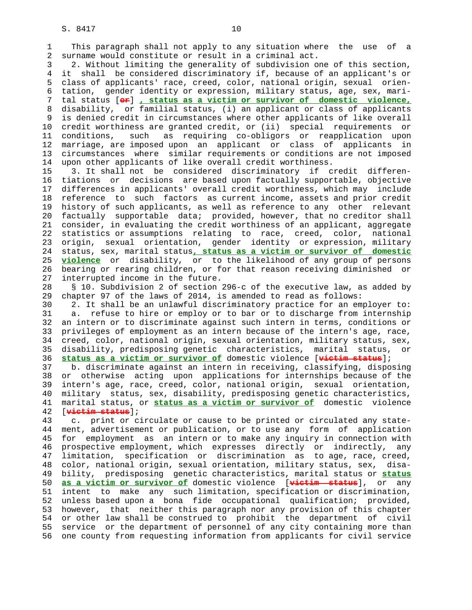1 This paragraph shall not apply to any situation where the use of a 2 surname would constitute or result in a criminal act.

 3 2. Without limiting the generality of subdivision one of this section, 4 it shall be considered discriminatory if, because of an applicant's or 5 class of applicants' race, creed, color, national origin, sexual orien- 6 tation, gender identity or expression, military status, age, sex, mari- 7 tal status [**or**] **, status as a victim or survivor of domestic violence,** 8 disability, or familial status, (i) an applicant or class of applicants 9 is denied credit in circumstances where other applicants of like overall<br>10 credit worthiness are granted credit, or (ii) special requirements or 10 credit worthiness are granted credit, or (ii) special requirements or 11 conditions, such as requiring co-obligors or reapplication upon 12 marriage, are imposed upon an applicant or class of applicants in 13 circumstances where similar requirements or conditions are not imposed 14 upon other applicants of like overall credit worthiness.

 15 3. It shall not be considered discriminatory if credit differen- 16 tiations or decisions are based upon factually supportable, objective 17 differences in applicants' overall credit worthiness, which may include 18 reference to such factors as current income, assets and prior credit 19 history of such applicants, as well as reference to any other relevant 20 factually supportable data; provided, however, that no creditor shall 21 consider, in evaluating the credit worthiness of an applicant, aggregate 22 statistics or assumptions relating to race, creed, color, national 23 origin, sexual orientation, gender identity or expression, military 24 status, sex, marital status**, status as a victim or survivor of domestic** 25 **violence** or disability, or to the likelihood of any group of persons 26 bearing or rearing children, or for that reason receiving diminished or 27 interrupted income in the future.

 28 § 10. Subdivision 2 of section 296-c of the executive law, as added by 29 chapter 97 of the laws of 2014, is amended to read as follows:

 30 2. It shall be an unlawful discriminatory practice for an employer to: 31 a. refuse to hire or employ or to bar or to discharge from internship 32 an intern or to discriminate against such intern in terms, conditions or 33 privileges of employment as an intern because of the intern's age, race, 34 creed, color, national origin, sexual orientation, military status, sex, 35 disability, predisposing genetic characteristics, marital status, or 36 **status as a victim or survivor of** domestic violence [**victim status**];

 37 b. discriminate against an intern in receiving, classifying, disposing 38 or otherwise acting upon applications for internships because of the 39 intern's age, race, creed, color, national origin, sexual orientation, 40 military status, sex, disability, predisposing genetic characteristics, 41 marital status, or **status as a victim or survivor of** domestic violence 42 [**victim status**];

 43 c. print or circulate or cause to be printed or circulated any state- 44 ment, advertisement or publication, or to use any form of application 45 for employment as an intern or to make any inquiry in connection with 46 prospective employment, which expresses directly or indirectly, any 47 limitation, specification or discrimination as to age, race, creed, 48 color, national origin, sexual orientation, military status, sex, disa- 49 bility, predisposing genetic characteristics, marital status or **status** 50 **as a victim or survivor of** domestic violence [**victim status**], or any 51 intent to make any such limitation, specification or discrimination, 52 unless based upon a bona fide occupational qualification; provided, 53 however, that neither this paragraph nor any provision of this chapter 54 or other law shall be construed to prohibit the department of civil 55 service or the department of personnel of any city containing more than 56 one county from requesting information from applicants for civil service